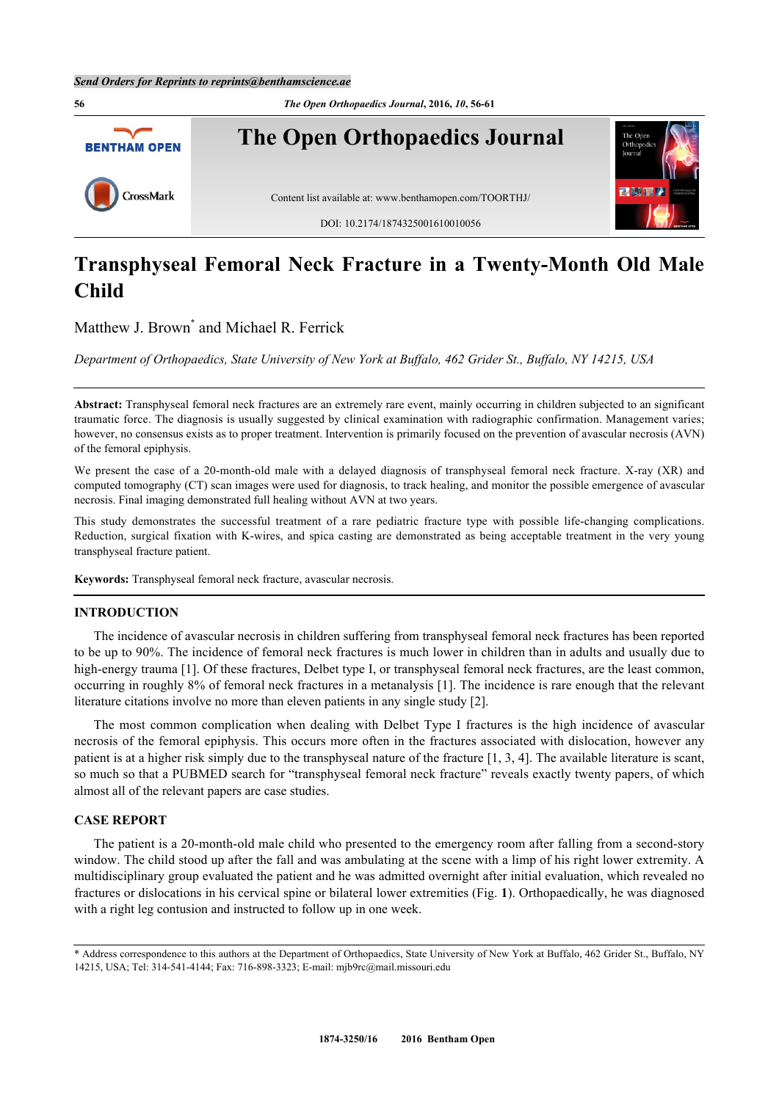

# **Transphyseal Femoral Neck Fracture in a Twenty-Month Old Male Child**

Matthew J. Brown<sup>[\\*](#page-0-0)</sup> and Michael R. Ferrick

*Department of Orthopaedics, State University of New York at Buffalo, 462 Grider St., Buffalo, NY 14215, USA*

**Abstract:** Transphyseal femoral neck fractures are an extremely rare event, mainly occurring in children subjected to an significant traumatic force. The diagnosis is usually suggested by clinical examination with radiographic confirmation. Management varies; however, no consensus exists as to proper treatment. Intervention is primarily focused on the prevention of avascular necrosis (AVN) of the femoral epiphysis.

We present the case of a 20-month-old male with a delayed diagnosis of transphyseal femoral neck fracture. X-ray (XR) and computed tomography (CT) scan images were used for diagnosis, to track healing, and monitor the possible emergence of avascular necrosis. Final imaging demonstrated full healing without AVN at two years.

This study demonstrates the successful treatment of a rare pediatric fracture type with possible life-changing complications. Reduction, surgical fixation with K-wires, and spica casting are demonstrated as being acceptable treatment in the very young transphyseal fracture patient.

**Keywords:** Transphyseal femoral neck fracture, avascular necrosis.

# **INTRODUCTION**

The incidence of avascular necrosis in children suffering from transphyseal femoral neck fractures has been reported to be up to 90%. The incidence of femoral neck fractures is much lower in children than in adults and usually due to high-energy trauma [[1\]](#page-4-0). Of these fractures, Delbet type I, or transphyseal femoral neck fractures, are the least common, occurring in roughly 8% of femoral neck fractures in a metanalysis [[1\]](#page-4-0). The incidence is rare enough that the relevant literature citations involve no more than eleven patients in any single study [[2\]](#page-4-1).

The most common complication when dealing with Delbet Type I fractures is the high incidence of avascular necrosis of the femoral epiphysis. This occurs more often in the fractures associated with dislocation, however any patient is at a higher risk simply due to the transphyseal nature of the fracture [[1](#page-4-0)[, 3](#page-4-2), [4](#page-4-3)]. The available literature is scant, so much so that a PUBMED search for "transphyseal femoral neck fracture" reveals exactly twenty papers, of which almost all of the relevant papers are case studies.

#### **CASE REPORT**

The patient is a 20-month-old male child who presented to the emergency room after falling from a second-story window. The child stood up after the fall and was ambulating at the scene with a limp of his right lower extremity. A multidisciplinary group evaluated the patient and he was admitted overnight after initial evaluation, which revealed no fractures or dislocations in his cervical spine or bilateral lower extremities (Fig. **[1](#page-0-1)**). Orthopaedically, he was diagnosed with a right leg contusion and instructed to follow up in one week.

<span id="page-0-1"></span><span id="page-0-0"></span><sup>\*</sup> Address correspondence to this authors at the Department of Orthopaedics, State University of New York at Buffalo, 462 Grider St., Buffalo, NY 14215, USA; Tel: 314-541-4144; Fax: 716-898-3323; E-mail: [mjb9rc@mail.missouri.edu](mailto:mjb9rc@mail.missouri.edu)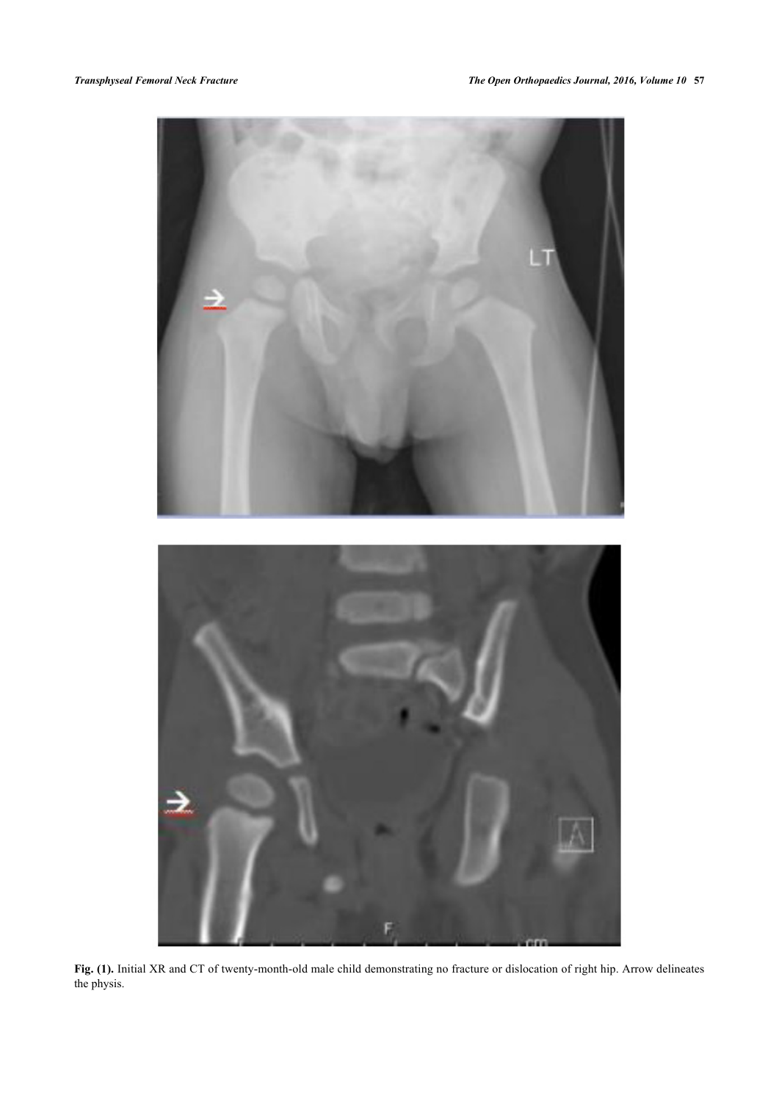

**Fig. (1).** Initial XR and CT of twenty-month-old male child demonstrating no fracture or dislocation of right hip. Arrow delineates the physis.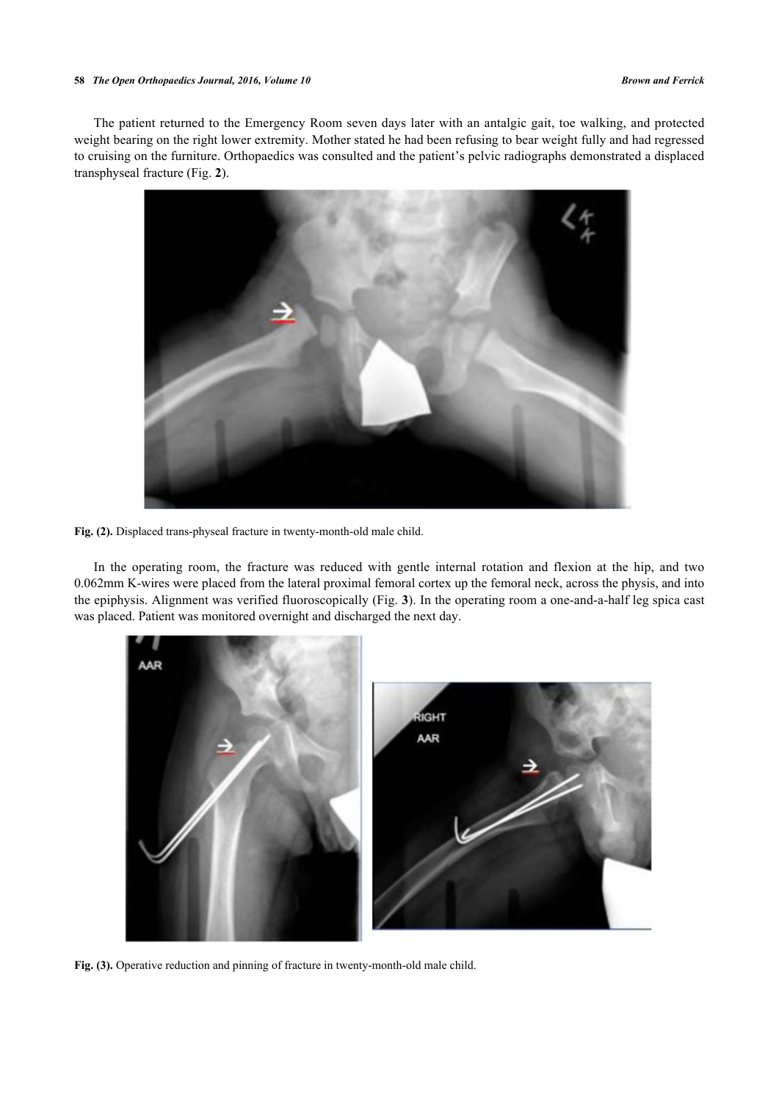#### **58** *The Open Orthopaedics Journal, 2016, Volume 10 Brown and Ferrick*

The patient returned to the Emergency Room seven days later with an antalgic gait, toe walking, and protected weight bearing on the right lower extremity. Mother stated he had been refusing to bear weight fully and had regressed to cruising on the furniture. Orthopaedics was consulted and the patient's pelvic radiographs demonstrated a displaced transphyseal fracture (Fig. **[2](#page-2-0)**).

<span id="page-2-0"></span>

**Fig. (2).** Displaced trans-physeal fracture in twenty-month-old male child.

In the operating room, the fracture was reduced with gentle internal rotation and flexion at the hip, and two 0.062mm K-wires were placed from the lateral proximal femoral cortex up the femoral neck, across the physis, and into the epiphysis. Alignment was verified fluoroscopically (Fig. **[3](#page-2-1)**). In the operating room a one-and-a-half leg spica cast was placed. Patient was monitored overnight and discharged the next day.

<span id="page-2-1"></span>

Fig. (3). Operative reduction and pinning of fracture in twenty-month-old male child.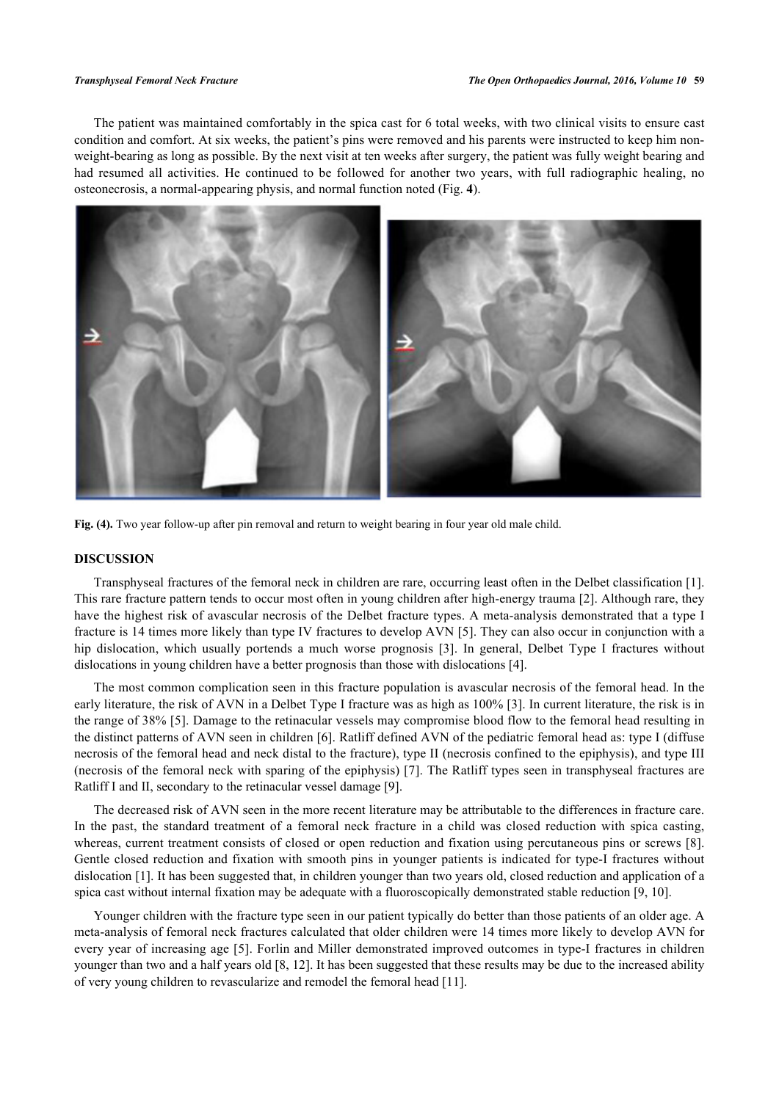The patient was maintained comfortably in the spica cast for 6 total weeks, with two clinical visits to ensure cast condition and comfort. At six weeks, the patient's pins were removed and his parents were instructed to keep him nonweight-bearing as long as possible. By the next visit at ten weeks after surgery, the patient was fully weight bearing and had resumed all activities. He continued to be followed for another two years, with full radiographic healing, no osteonecrosis, a normal-appearing physis, and normal function noted (Fig. **[4](#page-3-0)**).

<span id="page-3-0"></span>

**Fig. (4).** Two year follow-up after pin removal and return to weight bearing in four year old male child.

# **DISCUSSION**

Transphyseal fractures of the femoral neck in children are rare, occurring least often in the Delbet classification [[1\]](#page-4-0). This rare fracture pattern tends to occur most often in young children after high-energy trauma [[2](#page-4-1)]. Although rare, they have the highest risk of avascular necrosis of the Delbet fracture types. A meta-analysis demonstrated that a type I fracture is 14 times more likely than type IV fractures to develop AVN [\[5\]](#page-4-4). They can also occur in conjunction with a hipdislocation, which usually portends a much worse prognosis [[3\]](#page-4-2). In general, Delbet Type I fractures without dislocations in young children have a better prognosis than those with dislocations [\[4](#page-4-3)].

The most common complication seen in this fracture population is avascular necrosis of the femoral head. In the early literature, the risk of AVN in a Delbet Type I fracture was as high as 100% [[3\]](#page-4-2). In current literature, the risk is in the range of 38% [[5\]](#page-4-4). Damage to the retinacular vessels may compromise blood flow to the femoral head resulting in the distinct patterns of AVN seen in children [[6\]](#page-4-5). Ratliff defined AVN of the pediatric femoral head as: type I (diffuse necrosis of the femoral head and neck distal to the fracture), type II (necrosis confined to the epiphysis), and type III (necrosis of the femoral neck with sparing of the epiphysis) [\[7](#page-4-6)]. The Ratliff types seen in transphyseal fractures are Ratliff I and II, secondary to the retinacular vessel damage [[9\]](#page-4-7).

The decreased risk of AVN seen in the more recent literature may be attributable to the differences in fracture care. In the past, the standard treatment of a femoral neck fracture in a child was closed reduction with spica casting, whereas, current treatment consists of closed or open reduction and fixation using percutaneous pins or screws [[8\]](#page-4-8). Gentle closed reduction and fixation with smooth pins in younger patients is indicated for type-I fractures without dislocation [[1\]](#page-4-0). It has been suggested that, in children younger than two years old, closed reduction and application of a spica cast without internal fixation may be adequate with a fluoroscopically demonstrated stable reduction [[9,](#page-4-7) [10\]](#page-4-9).

Younger children with the fracture type seen in our patient typically do better than those patients of an older age. A meta-analysis of femoral neck fractures calculated that older children were 14 times more likely to develop AVN for every year of increasing age [[5](#page-4-4)]. Forlin and Miller demonstrated improved outcomes in type-I fractures in children younger than two and a half years old [[8,](#page-4-8) [12\]](#page-4-10). It has been suggested that these results may be due to the increased ability of very young children to revascularize and remodel the femoral head [\[11](#page-4-11)].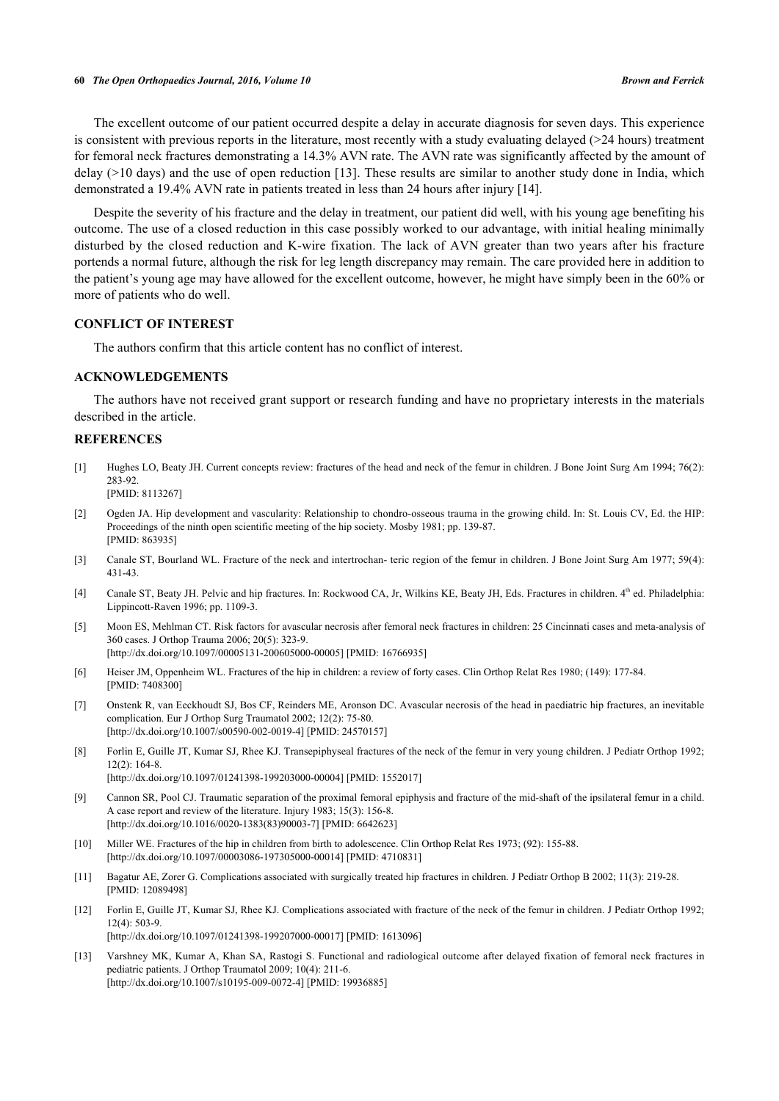#### **60** *The Open Orthopaedics Journal, 2016, Volume 10 Brown and Ferrick*

The excellent outcome of our patient occurred despite a delay in accurate diagnosis for seven days. This experience is consistent with previous reports in the literature, most recently with a study evaluating delayed  $(>24$  hours) treatment for femoral neck fractures demonstrating a 14.3% AVN rate. The AVN rate was significantly affected by the amount of delay (>10 days) and the use of open reduction [\[13\]](#page-5-0). These results are similar to another study done in India, which demonstrated a 19.4% AVN rate in patients treated in less than 24 hours after injury [[14\]](#page--1-0).

Despite the severity of his fracture and the delay in treatment, our patient did well, with his young age benefiting his outcome. The use of a closed reduction in this case possibly worked to our advantage, with initial healing minimally disturbed by the closed reduction and K-wire fixation. The lack of AVN greater than two years after his fracture portends a normal future, although the risk for leg length discrepancy may remain. The care provided here in addition to the patient's young age may have allowed for the excellent outcome, however, he might have simply been in the 60% or more of patients who do well.

## **CONFLICT OF INTEREST**

The authors confirm that this article content has no conflict of interest.

#### **ACKNOWLEDGEMENTS**

The authors have not received grant support or research funding and have no proprietary interests in the materials described in the article.

## **REFERENCES**

- <span id="page-4-0"></span>[1] Hughes LO, Beaty JH. Current concepts review: fractures of the head and neck of the femur in children. J Bone Joint Surg Am 1994; 76(2): 283-92. [PMID: [8113267\]](http://www.ncbi.nlm.nih.gov/pubmed/8113267)
- <span id="page-4-1"></span>[2] Ogden JA. Hip development and vascularity: Relationship to chondro-osseous trauma in the growing child. In: St. Louis CV, Ed. the HIP: Proceedings of the ninth open scientific meeting of the hip society. Mosby 1981; pp. 139-87. [PMID: [863935\]](http://www.ncbi.nlm.nih.gov/pubmed/863935)
- <span id="page-4-2"></span>[3] Canale ST, Bourland WL. Fracture of the neck and intertrochan- teric region of the femur in children. J Bone Joint Surg Am 1977; 59(4): 431-43.
- [4] Canale ST, Beaty JH. Pelvic and hip fractures. In: Rockwood CA, Jr, Wilkins KE, Beaty JH, Eds. Fractures in children. 4<sup>th</sup> ed. Philadelphia: Lippincott-Raven 1996; pp. 1109-3.
- <span id="page-4-3"></span>[5] Moon ES, Mehlman CT. Risk factors for avascular necrosis after femoral neck fractures in children: 25 Cincinnati cases and meta-analysis of 360 cases. J Orthop Trauma 2006; 20(5): 323-9. [\[http://dx.doi.org/10.1097/00005131-200605000-00005](http://dx.doi.org/10.1097/00005131-200605000-00005)] [PMID: [16766935\]](http://www.ncbi.nlm.nih.gov/pubmed/16766935)
- <span id="page-4-4"></span>[6] Heiser JM, Oppenheim WL. Fractures of the hip in children: a review of forty cases. Clin Orthop Relat Res 1980; (149): 177-84. [PMID: [7408300\]](http://www.ncbi.nlm.nih.gov/pubmed/7408300)
- <span id="page-4-5"></span>[7] Onstenk R, van Eeckhoudt SJ, Bos CF, Reinders ME, Aronson DC. Avascular necrosis of the head in paediatric hip fractures, an inevitable complication. Eur J Orthop Surg Traumatol 2002; 12(2): 75-80. [\[http://dx.doi.org/10.1007/s00590-002-0019-4\]](http://dx.doi.org/10.1007/s00590-002-0019-4) [PMID: [24570157](http://www.ncbi.nlm.nih.gov/pubmed/24570157)]
- <span id="page-4-6"></span>[8] Forlin E, Guille JT, Kumar SJ, Rhee KJ. Transepiphyseal fractures of the neck of the femur in very young children. J Pediatr Orthop 1992; 12(2): 164-8. [\[http://dx.doi.org/10.1097/01241398-199203000-00004](http://dx.doi.org/10.1097/01241398-199203000-00004)] [PMID: [1552017\]](http://www.ncbi.nlm.nih.gov/pubmed/1552017)
- <span id="page-4-8"></span>[9] Cannon SR, Pool CJ. Traumatic separation of the proximal femoral epiphysis and fracture of the mid-shaft of the ipsilateral femur in a child. A case report and review of the literature. Injury 1983; 15(3): 156-8. [\[http://dx.doi.org/10.1016/0020-1383\(83\)90003-7](http://dx.doi.org/10.1016/0020-1383(83)90003-7)] [PMID: [6642623](http://www.ncbi.nlm.nih.gov/pubmed/6642623)]
- <span id="page-4-7"></span>[10] Miller WE. Fractures of the hip in children from birth to adolescence. Clin Orthop Relat Res 1973; (92): 155-88. [\[http://dx.doi.org/10.1097/00003086-197305000-00014](http://dx.doi.org/10.1097/00003086-197305000-00014)] [PMID: [4710831\]](http://www.ncbi.nlm.nih.gov/pubmed/4710831)
- <span id="page-4-9"></span>[11] Bagatur AE, Zorer G. Complications associated with surgically treated hip fractures in children. J Pediatr Orthop B 2002; 11(3): 219-28. [PMID: [12089498\]](http://www.ncbi.nlm.nih.gov/pubmed/12089498)
- <span id="page-4-11"></span>[12] Forlin E, Guille JT, Kumar SJ, Rhee KJ. Complications associated with fracture of the neck of the femur in children. J Pediatr Orthop 1992; 12(4): 503-9. [\[http://dx.doi.org/10.1097/01241398-199207000-00017](http://dx.doi.org/10.1097/01241398-199207000-00017)] [PMID: [1613096\]](http://www.ncbi.nlm.nih.gov/pubmed/1613096)
- <span id="page-4-10"></span>[13] Varshney MK, Kumar A, Khan SA, Rastogi S. Functional and radiological outcome after delayed fixation of femoral neck fractures in pediatric patients. J Orthop Traumatol 2009; 10(4): 211-6. [\[http://dx.doi.org/10.1007/s10195-009-0072-4\]](http://dx.doi.org/10.1007/s10195-009-0072-4) [PMID: [19936885](http://www.ncbi.nlm.nih.gov/pubmed/19936885)]